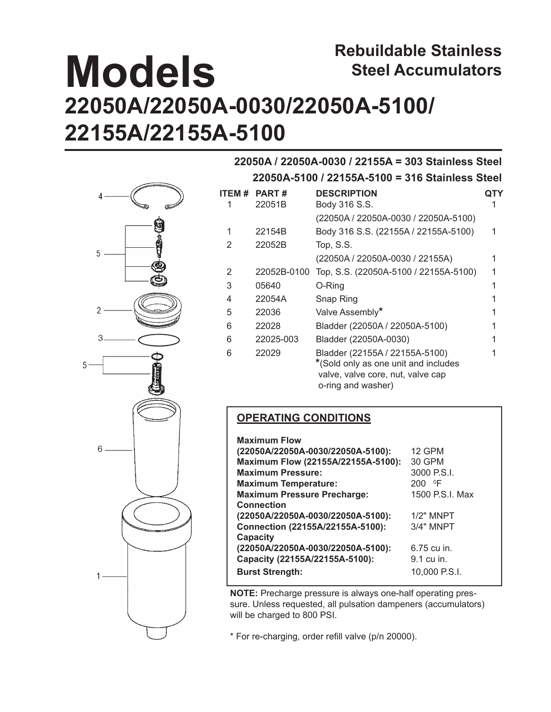# **Models 22050A/22050A-0030/22050A-5100/ 22155A/22155A-5100 Rebuildable Stainless Steel Accumulators**



#### **22050A / 22050A-0030 / 22155A = 303 Stainless Steel 22050A-5100 / 22155A-5100 = 316 Stainless Steel**

|        | ———————————————————— | TU ULUHILGƏƏ ULUCI                                                                                                                |   |
|--------|----------------------|-----------------------------------------------------------------------------------------------------------------------------------|---|
| ITEM # | <b>PART#</b>         | <b>DESCRIPTION</b>                                                                                                                |   |
|        | 22051B               | Body 316 S.S.                                                                                                                     |   |
|        |                      | (22050A / 22050A-0030 / 22050A-5100)                                                                                              |   |
| 1      | 22154B               | Body 316 S.S. (22155A / 22155A-5100)                                                                                              | 1 |
| 2      | 22052B               | Top, S.S.                                                                                                                         |   |
|        |                      | (22050A / 22050A-0030 / 22155A)                                                                                                   |   |
| 2      | 22052B-0100          | Top, S.S. (22050A-5100 / 22155A-5100)                                                                                             |   |
| 3      | 05640                | O-Ring                                                                                                                            |   |
| 4      | 22054A               | Snap Ring                                                                                                                         |   |
| 5      | 22036                | Valve Assembly*                                                                                                                   |   |
| 6      | 22028                | Bladder (22050A / 22050A-5100)                                                                                                    |   |
| 6      | 22025-003            | Bladder (22050A-0030)                                                                                                             |   |
| 6      | 22029                | Bladder (22155A / 22155A-5100)<br>*(Sold only as one unit and includes<br>valve, valve core, nut, valve cap<br>o-ring and washer) |   |

### **OPERATING CONDITIONS**

| <b>Maximum Flow</b>                |                  |
|------------------------------------|------------------|
| (22050A/22050A-0030/22050A-5100):  | 12 GPM           |
| Maximum Flow (22155A/22155A-5100): | 30 GPM           |
| <b>Maximum Pressure:</b>           | 3000 P.S.I.      |
| <b>Maximum Temperature:</b>        | 200 °F           |
| <b>Maximum Pressure Precharge:</b> | 1500 P.S.I. Max  |
| <b>Connection</b>                  |                  |
| (22050A/22050A-0030/22050A-5100):  | <b>1/2" MNPT</b> |
| Connection (22155A/22155A-5100):   | <b>3/4" MNPT</b> |
| Capacity                           |                  |
| (22050A/22050A-0030/22050A-5100):  | 6.75 cu in.      |
| Capacity (22155A/22155A-5100):     | 9.1 cu in.       |
| <b>Burst Strength:</b>             | 10,000 P.S.I.    |

**NOTE:** Precharge pressure is always one-half operating pressure. Unless requested, all pulsation dampeners (accumulators) will be charged to 800 PSI.

\* For re-charging, order refill valve (p/n 20000).